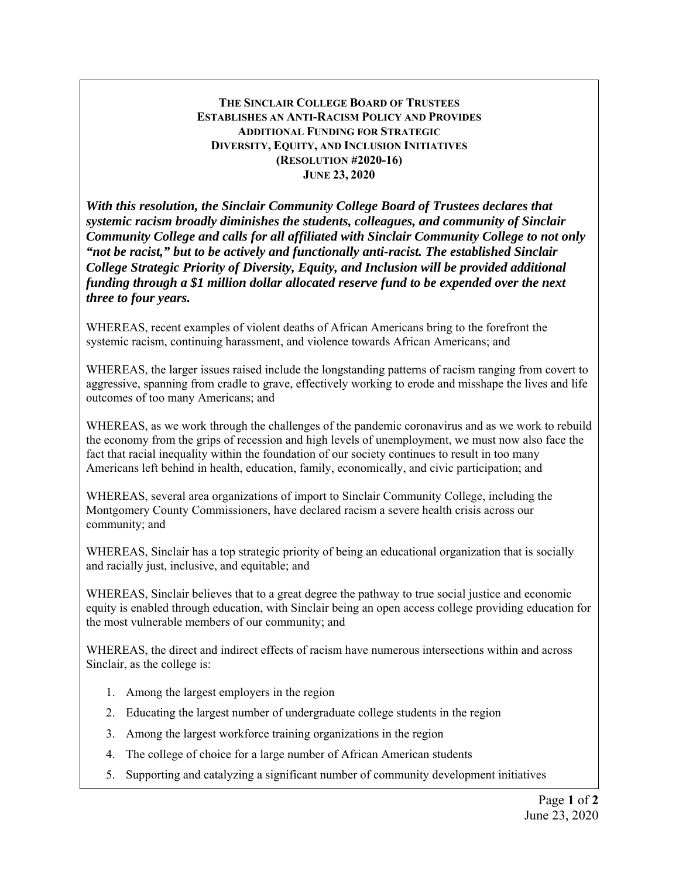## **THE SINCLAIR COLLEGE BOARD OF TRUSTEES ESTABLISHES AN ANTI-RACISM POLICY AND PROVIDES ADDITIONAL FUNDING FOR STRATEGIC DIVERSITY, EQUITY, AND INCLUSION INITIATIVES (RESOLUTION #2020-16) JUNE 23, 2020**

*With this resolution, the Sinclair Community College Board of Trustees declares that systemic racism broadly diminishes the students, colleagues, and community of Sinclair Community College and calls for all affiliated with Sinclair Community College to not only "not be racist," but to be actively and functionally anti-racist. The established Sinclair College Strategic Priority of Diversity, Equity, and Inclusion will be provided additional funding through a \$1 million dollar allocated reserve fund to be expended over the next three to four years.* 

WHEREAS, recent examples of violent deaths of African Americans bring to the forefront the systemic racism, continuing harassment, and violence towards African Americans; and

WHEREAS, the larger issues raised include the longstanding patterns of racism ranging from covert to aggressive, spanning from cradle to grave, effectively working to erode and misshape the lives and life outcomes of too many Americans; and

WHEREAS, as we work through the challenges of the pandemic coronavirus and as we work to rebuild the economy from the grips of recession and high levels of unemployment, we must now also face the fact that racial inequality within the foundation of our society continues to result in too many Americans left behind in health, education, family, economically, and civic participation; and

WHEREAS, several area organizations of import to Sinclair Community College, including the Montgomery County Commissioners, have declared racism a severe health crisis across our community; and

WHEREAS, Sinclair has a top strategic priority of being an educational organization that is socially and racially just, inclusive, and equitable; and

WHEREAS, Sinclair believes that to a great degree the pathway to true social justice and economic equity is enabled through education, with Sinclair being an open access college providing education for the most vulnerable members of our community; and

WHEREAS, the direct and indirect effects of racism have numerous intersections within and across Sinclair, as the college is:

- 1. Among the largest employers in the region
- 2. Educating the largest number of undergraduate college students in the region
- 3. Among the largest workforce training organizations in the region
- 4. The college of choice for a large number of African American students
- 5. Supporting and catalyzing a significant number of community development initiatives